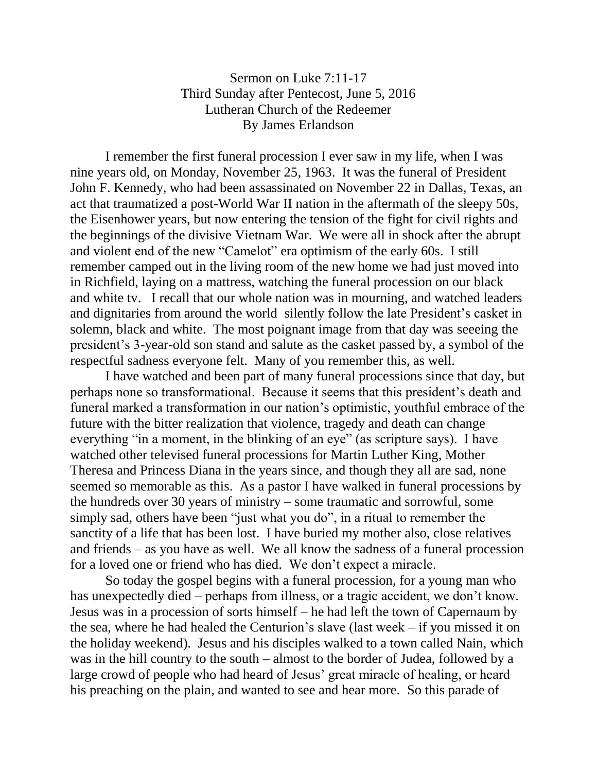## Sermon on Luke 7:11-17 Third Sunday after Pentecost, June 5, 2016 Lutheran Church of the Redeemer By James Erlandson

I remember the first funeral procession I ever saw in my life, when I was nine years old, on Monday, November 25, 1963. It was the funeral of President John F. Kennedy, who had been assassinated on November 22 in Dallas, Texas, an act that traumatized a post-World War II nation in the aftermath of the sleepy 50s, the Eisenhower years, but now entering the tension of the fight for civil rights and the beginnings of the divisive Vietnam War. We were all in shock after the abrupt and violent end of the new "Camelot" era optimism of the early 60s. I still remember camped out in the living room of the new home we had just moved into in Richfield, laying on a mattress, watching the funeral procession on our black and white tv. I recall that our whole nation was in mourning, and watched leaders and dignitaries from around the world silently follow the late President's casket in solemn, black and white. The most poignant image from that day was seeeing the president's 3-year-old son stand and salute as the casket passed by, a symbol of the respectful sadness everyone felt. Many of you remember this, as well.

I have watched and been part of many funeral processions since that day, but perhaps none so transformational. Because it seems that this president's death and funeral marked a transformation in our nation's optimistic, youthful embrace of the future with the bitter realization that violence, tragedy and death can change everything "in a moment, in the blinking of an eye" (as scripture says). I have watched other televised funeral processions for Martin Luther King, Mother Theresa and Princess Diana in the years since, and though they all are sad, none seemed so memorable as this. As a pastor I have walked in funeral processions by the hundreds over 30 years of ministry – some traumatic and sorrowful, some simply sad, others have been "just what you do", in a ritual to remember the sanctity of a life that has been lost. I have buried my mother also, close relatives and friends – as you have as well. We all know the sadness of a funeral procession for a loved one or friend who has died. We don't expect a miracle.

So today the gospel begins with a funeral procession, for a young man who has unexpectedly died – perhaps from illness, or a tragic accident, we don't know. Jesus was in a procession of sorts himself – he had left the town of Capernaum by the sea, where he had healed the Centurion's slave (last week – if you missed it on the holiday weekend). Jesus and his disciples walked to a town called Nain, which was in the hill country to the south – almost to the border of Judea, followed by a large crowd of people who had heard of Jesus' great miracle of healing, or heard his preaching on the plain, and wanted to see and hear more. So this parade of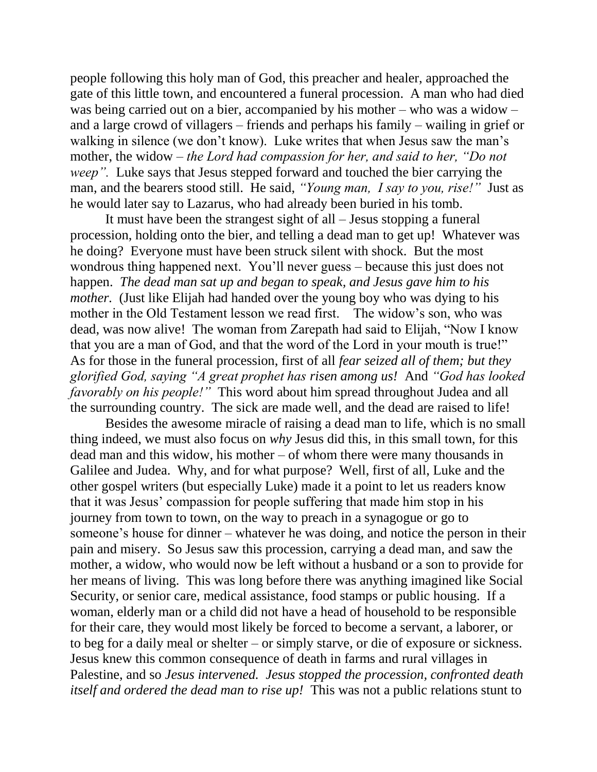people following this holy man of God, this preacher and healer, approached the gate of this little town, and encountered a funeral procession. A man who had died was being carried out on a bier, accompanied by his mother – who was a widow – and a large crowd of villagers – friends and perhaps his family – wailing in grief or walking in silence (we don't know). Luke writes that when Jesus saw the man's mother, the widow – *the Lord had compassion for her, and said to her, "Do not weep".* Luke says that Jesus stepped forward and touched the bier carrying the man, and the bearers stood still. He said, *"Young man, I say to you, rise!"* Just as he would later say to Lazarus, who had already been buried in his tomb.

It must have been the strangest sight of all – Jesus stopping a funeral procession, holding onto the bier, and telling a dead man to get up! Whatever was he doing? Everyone must have been struck silent with shock. But the most wondrous thing happened next. You'll never guess – because this just does not happen. *The dead man sat up and began to speak, and Jesus gave him to his mother.* (Just like Elijah had handed over the young boy who was dying to his mother in the Old Testament lesson we read first. The widow's son, who was dead, was now alive! The woman from Zarepath had said to Elijah, "Now I know that you are a man of God, and that the word of the Lord in your mouth is true!" As for those in the funeral procession, first of all *fear seized all of them; but they glorified God, saying "A great prophet has risen among us!* And *"God has looked favorably on his people!"* This word about him spread throughout Judea and all the surrounding country. The sick are made well, and the dead are raised to life!

Besides the awesome miracle of raising a dead man to life, which is no small thing indeed, we must also focus on *why* Jesus did this, in this small town, for this dead man and this widow, his mother – of whom there were many thousands in Galilee and Judea. Why, and for what purpose? Well, first of all, Luke and the other gospel writers (but especially Luke) made it a point to let us readers know that it was Jesus' compassion for people suffering that made him stop in his journey from town to town, on the way to preach in a synagogue or go to someone's house for dinner – whatever he was doing, and notice the person in their pain and misery. So Jesus saw this procession, carrying a dead man, and saw the mother, a widow, who would now be left without a husband or a son to provide for her means of living. This was long before there was anything imagined like Social Security, or senior care, medical assistance, food stamps or public housing. If a woman, elderly man or a child did not have a head of household to be responsible for their care, they would most likely be forced to become a servant, a laborer, or to beg for a daily meal or shelter – or simply starve, or die of exposure or sickness. Jesus knew this common consequence of death in farms and rural villages in Palestine, and so *Jesus intervened. Jesus stopped the procession, confronted death itself and ordered the dead man to rise up!* This was not a public relations stunt to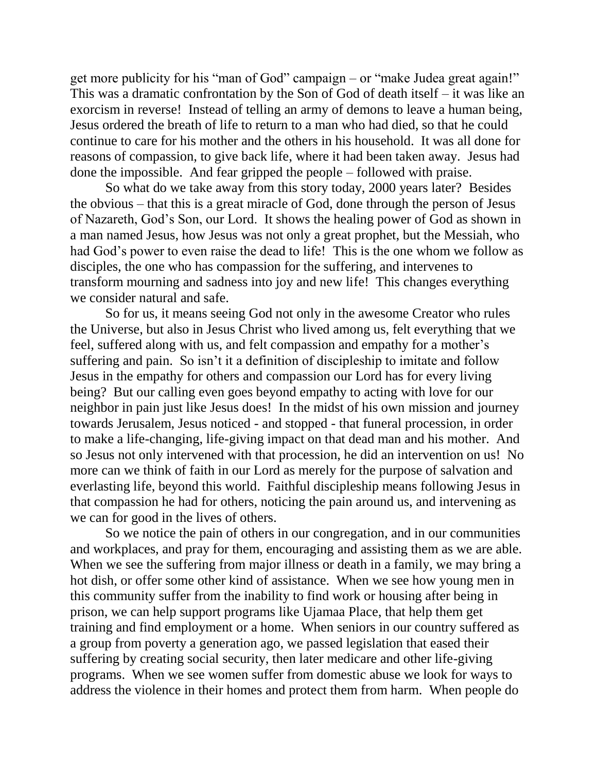get more publicity for his "man of God" campaign – or "make Judea great again!" This was a dramatic confrontation by the Son of God of death itself – it was like an exorcism in reverse! Instead of telling an army of demons to leave a human being, Jesus ordered the breath of life to return to a man who had died, so that he could continue to care for his mother and the others in his household. It was all done for reasons of compassion, to give back life, where it had been taken away. Jesus had done the impossible. And fear gripped the people – followed with praise.

So what do we take away from this story today, 2000 years later? Besides the obvious – that this is a great miracle of God, done through the person of Jesus of Nazareth, God's Son, our Lord. It shows the healing power of God as shown in a man named Jesus, how Jesus was not only a great prophet, but the Messiah, who had God's power to even raise the dead to life! This is the one whom we follow as disciples, the one who has compassion for the suffering, and intervenes to transform mourning and sadness into joy and new life! This changes everything we consider natural and safe.

So for us, it means seeing God not only in the awesome Creator who rules the Universe, but also in Jesus Christ who lived among us, felt everything that we feel, suffered along with us, and felt compassion and empathy for a mother's suffering and pain. So isn't it a definition of discipleship to imitate and follow Jesus in the empathy for others and compassion our Lord has for every living being? But our calling even goes beyond empathy to acting with love for our neighbor in pain just like Jesus does! In the midst of his own mission and journey towards Jerusalem, Jesus noticed - and stopped - that funeral procession, in order to make a life-changing, life-giving impact on that dead man and his mother. And so Jesus not only intervened with that procession, he did an intervention on us! No more can we think of faith in our Lord as merely for the purpose of salvation and everlasting life, beyond this world. Faithful discipleship means following Jesus in that compassion he had for others, noticing the pain around us, and intervening as we can for good in the lives of others.

So we notice the pain of others in our congregation, and in our communities and workplaces, and pray for them, encouraging and assisting them as we are able. When we see the suffering from major illness or death in a family, we may bring a hot dish, or offer some other kind of assistance. When we see how young men in this community suffer from the inability to find work or housing after being in prison, we can help support programs like Ujamaa Place, that help them get training and find employment or a home. When seniors in our country suffered as a group from poverty a generation ago, we passed legislation that eased their suffering by creating social security, then later medicare and other life-giving programs. When we see women suffer from domestic abuse we look for ways to address the violence in their homes and protect them from harm. When people do